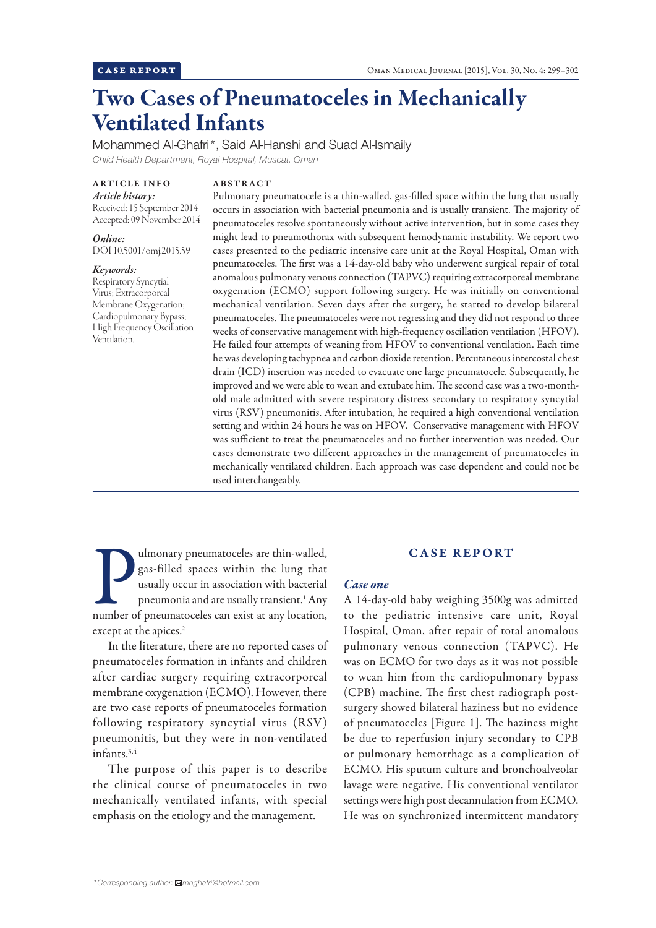# Two Cases of Pneumatoceles in Mechanically Ventilated Infants

Mohammed Al-Ghafri\*, Said Al-Hanshi and Suad Al-Ismaily *Child Health Department, Royal Hospital, Muscat, Oman*

### ARTICLE INFO

*Article history:*  Received: 15 September 2014 Accepted: 09 November 2014

*Online:* DOI 10.5001/omj.2015.59

*Keywords:*  Respiratory Syncytial Virus; Extracorporeal Membrane Oxygenation; Cardiopulmonary Bypass; High Frequency Oscillation Ventilation.

# ABSTRACT

Pulmonary pneumatocele is a thin-walled, gas-filled space within the lung that usually occurs in association with bacterial pneumonia and is usually transient. The majority of pneumatoceles resolve spontaneously without active intervention, but in some cases they might lead to pneumothorax with subsequent hemodynamic instability. We report two cases presented to the pediatric intensive care unit at the Royal Hospital, Oman with pneumatoceles. The first was a 14-day-old baby who underwent surgical repair of total anomalous pulmonary venous connection (TAPVC) requiring extracorporeal membrane oxygenation (ECMO) support following surgery. He was initially on conventional mechanical ventilation. Seven days after the surgery, he started to develop bilateral pneumatoceles. The pneumatoceles were not regressing and they did not respond to three weeks of conservative management with high-frequency oscillation ventilation (HFOV). He failed four attempts of weaning from HFOV to conventional ventilation. Each time he was developing tachypnea and carbon dioxide retention. Percutaneous intercostal chest drain (ICD) insertion was needed to evacuate one large pneumatocele. Subsequently, he improved and we were able to wean and extubate him. The second case was a two-monthold male admitted with severe respiratory distress secondary to respiratory syncytial virus (RSV) pneumonitis. After intubation, he required a high conventional ventilation setting and within 24 hours he was on HFOV. Conservative management with HFOV was sufficient to treat the pneumatoceles and no further intervention was needed. Our cases demonstrate two different approaches in the management of pneumatoceles in mechanically ventilated children. Each approach was case dependent and could not be used interchangeably.

Umonary pneumatoceles are thin-walled,<br>gas-filled spaces within the lung that<br>usually occur in association with bacterial<br>pneumonia and are usually transient.<sup>1</sup> Any<br>number of pneumatoceles can exist at any location, ulmonary pneumatoceles are thin-walled, gas-filled spaces within the lung that usually occur in association with bacterial pneumonia and are usually transient.1 Any except at the apices.<sup>2</sup>

In the literature, there are no reported cases of pneumatoceles formation in infants and children after cardiac surgery requiring extracorporeal membrane oxygenation (ECMO). However, there are two case reports of pneumatoceles formation following respiratory syncytial virus (RSV) pneumonitis, but they were in non-ventilated infants.3,4

The purpose of this paper is to describe the clinical course of pneumatoceles in two mechanically ventilated infants, with special emphasis on the etiology and the management.

# CASE REPORT

## *Case one*

A 14-day-old baby weighing 3500g was admitted to the pediatric intensive care unit, Royal Hospital, Oman, after repair of total anomalous pulmonary venous connection (TAPVC). He was on ECMO for two days as it was not possible to wean him from the cardiopulmonary bypass (CPB) machine. The first chest radiograph postsurgery showed bilateral haziness but no evidence of pneumatoceles [Figure 1]. The haziness might be due to reperfusion injury secondary to CPB or pulmonary hemorrhage as a complication of ECMO. His sputum culture and bronchoalveolar lavage were negative. His conventional ventilator settings were high post decannulation from ECMO. He was on synchronized intermittent mandatory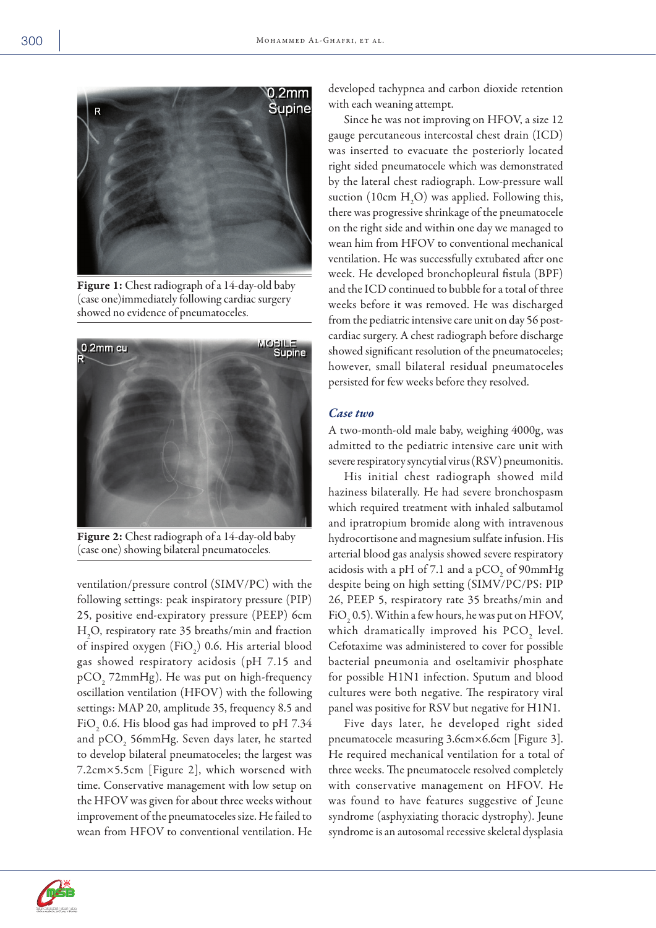

Figure 1: Chest radiograph of a 14-day-old baby (case one)immediately following cardiac surgery showed no evidence of pneumatoceles.



Figure 2: Chest radiograph of a 14-day-old baby (case one) showing bilateral pneumatoceles.

ventilation/pressure control (SIMV/PC) with the following settings: peak inspiratory pressure (PIP) 25, positive end-expiratory pressure (PEEP) 6cm H2 O, respiratory rate 35 breaths/min and fraction of inspired oxygen  $(\text{FiO}_2)$  0.6. His arterial blood gas showed respiratory acidosis (pH 7.15 and  $pCO<sub>2</sub>$  72mmHg). He was put on high-frequency oscillation ventilation (HFOV) with the following settings: MAP 20, amplitude 35, frequency 8.5 and FiO<sub>2</sub> 0.6. His blood gas had improved to pH 7.34 and p $\rm CO_{2}$  56mmHg. Seven days later, he started to develop bilateral pneumatoceles; the largest was 7.2cm×5.5cm [Figure 2], which worsened with time. Conservative management with low setup on the HFOV was given for about three weeks without improvement of the pneumatoceles size. He failed to wean from HFOV to conventional ventilation. He

developed tachypnea and carbon dioxide retention with each weaning attempt.

Since he was not improving on HFOV, a size 12 gauge percutaneous intercostal chest drain (ICD) was inserted to evacuate the posteriorly located right sided pneumatocele which was demonstrated by the lateral chest radiograph. Low-pressure wall suction (10cm  $H_2O$ ) was applied. Following this, there was progressive shrinkage of the pneumatocele on the right side and within one day we managed to wean him from HFOV to conventional mechanical ventilation. He was successfully extubated after one week. He developed bronchopleural fistula (BPF) and the ICD continued to bubble for a total of three weeks before it was removed. He was discharged from the pediatric intensive care unit on day 56 postcardiac surgery. A chest radiograph before discharge showed significant resolution of the pneumatoceles; however, small bilateral residual pneumatoceles persisted for few weeks before they resolved.

### *Case two*

A two-month-old male baby, weighing 4000g, was admitted to the pediatric intensive care unit with severe respiratory syncytial virus (RSV) pneumonitis.

His initial chest radiograph showed mild haziness bilaterally. He had severe bronchospasm which required treatment with inhaled salbutamol and ipratropium bromide along with intravenous hydrocortisone and magnesium sulfate infusion. His arterial blood gas analysis showed severe respiratory acidosis with a pH of 7.1 and a pCO<sub>2</sub> of  $90 \text{mmHg}$ despite being on high setting (SIMV/PC/PS: PIP 26, PEEP 5, respiratory rate 35 breaths/min and FiO<sub>2</sub> 0.5). Within a few hours, he was put on HFOV, which dramatically improved his  $PCO_2$  level. Cefotaxime was administered to cover for possible bacterial pneumonia and oseltamivir phosphate for possible H1N1 infection. Sputum and blood cultures were both negative. The respiratory viral panel was positive for RSV but negative for H1N1.

Five days later, he developed right sided pneumatocele measuring 3.6cm×6.6cm [Figure 3]. He required mechanical ventilation for a total of three weeks. The pneumatocele resolved completely with conservative management on HFOV. He was found to have features suggestive of Jeune syndrome (asphyxiating thoracic dystrophy). Jeune syndrome is an autosomal recessive skeletal dysplasia

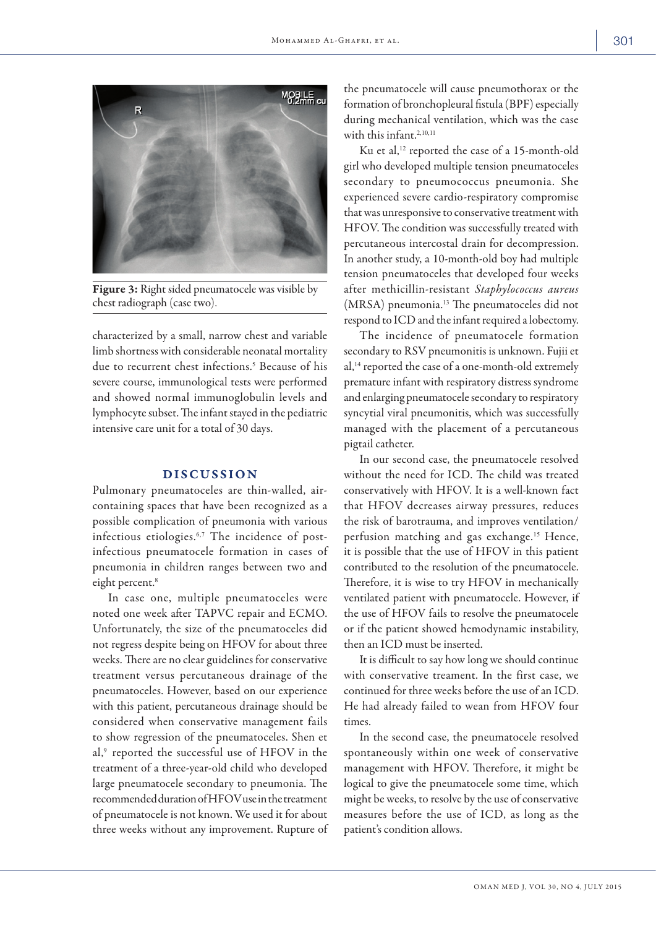

Figure 3: Right sided pneumatocele was visible by chest radiograph (case two).

characterized by a small, narrow chest and variable limb shortness with considerable neonatal mortality due to recurrent chest infections.<sup>5</sup> Because of his severe course, immunological tests were performed and showed normal immunoglobulin levels and lymphocyte subset. The infant stayed in the pediatric intensive care unit for a total of 30 days.

#### DISCUSSION

Pulmonary pneumatoceles are thin-walled, aircontaining spaces that have been recognized as a possible complication of pneumonia with various infectious etiologies.6,7 The incidence of postinfectious pneumatocele formation in cases of pneumonia in children ranges between two and eight percent.<sup>8</sup>

In case one, multiple pneumatoceles were noted one week after TAPVC repair and ECMO. Unfortunately, the size of the pneumatoceles did not regress despite being on HFOV for about three weeks. There are no clear guidelines for conservative treatment versus percutaneous drainage of the pneumatoceles. However, based on our experience with this patient, percutaneous drainage should be considered when conservative management fails to show regression of the pneumatoceles. Shen et al,<sup>9</sup> reported the successful use of HFOV in the treatment of a three-year-old child who developed large pneumatocele secondary to pneumonia. The recommended duration of HFOV use in the treatment of pneumatocele is not known. We used it for about three weeks without any improvement. Rupture of

the pneumatocele will cause pneumothorax or the formation of bronchopleural fistula (BPF) especially during mechanical ventilation, which was the case with this infant.<sup>2,10,11</sup>

Ku et al,<sup>12</sup> reported the case of a 15-month-old girl who developed multiple tension pneumatoceles secondary to pneumococcus pneumonia. She experienced severe cardio-respiratory compromise that was unresponsive to conservative treatment with HFOV. The condition was successfully treated with percutaneous intercostal drain for decompression. In another study, a 10-month-old boy had multiple tension pneumatoceles that developed four weeks after methicillin-resistant *Staphylococcus aureus*  (MRSA) pneumonia.13 The pneumatoceles did not respond to ICD and the infant required a lobectomy.

The incidence of pneumatocele formation secondary to RSV pneumonitis is unknown. Fujii et al,14 reported the case of a one-month-old extremely premature infant with respiratory distress syndrome and enlarging pneumatocele secondary to respiratory syncytial viral pneumonitis, which was successfully managed with the placement of a percutaneous pigtail catheter.

In our second case, the pneumatocele resolved without the need for ICD. The child was treated conservatively with HFOV. It is a well-known fact that HFOV decreases airway pressures, reduces the risk of barotrauma, and improves ventilation/ perfusion matching and gas exchange.<sup>15</sup> Hence, it is possible that the use of HFOV in this patient contributed to the resolution of the pneumatocele. Therefore, it is wise to try HFOV in mechanically ventilated patient with pneumatocele. However, if the use of HFOV fails to resolve the pneumatocele or if the patient showed hemodynamic instability, then an ICD must be inserted.

It is difficult to say how long we should continue with conservative treament. In the first case, we continued for three weeks before the use of an ICD. He had already failed to wean from HFOV four times.

In the second case, the pneumatocele resolved spontaneously within one week of conservative management with HFOV. Therefore, it might be logical to give the pneumatocele some time, which might be weeks, to resolve by the use of conservative measures before the use of ICD, as long as the patient's condition allows.